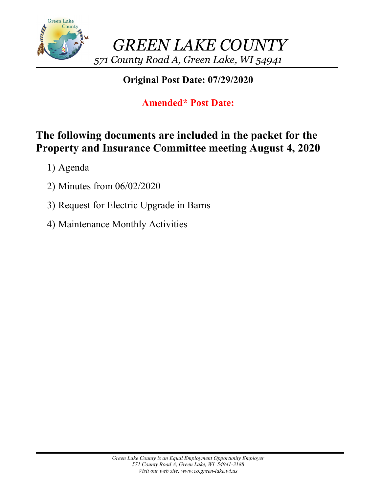

# **Original Post Date: 07/29/2020**

# **Amended\* Post Date:**

# **The following documents are included in the packet for the Property and Insurance Committee meeting August 4, 2020**

- 1) Agenda
- 2) Minutes from 06/02/2020
- 3) Request for Electric Upgrade in Barns
- 4) Maintenance Monthly Activities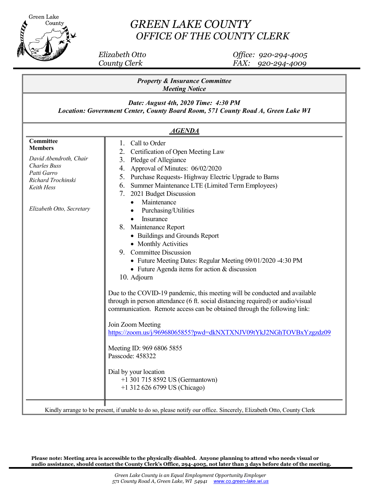

# *GREEN LAKE COUNTY OFFICE OF THE COUNTY CLERK*

 *Elizabeth Otto Office: 920-294-4005 County Clerk FAX: 920-294-4009*

| <b>Meeting Notice</b><br>Date: August 4th, 2020 Time: 4:30 PM<br>Location: Government Center, County Board Room, 571 County Road A, Green Lake WI                                                                                                                                                                                                                                                                                                                                                                                                                                                                                                                                                                                                                                                                                                                                                                                                                                                                                                                                                                                                                                                                                                           |
|-------------------------------------------------------------------------------------------------------------------------------------------------------------------------------------------------------------------------------------------------------------------------------------------------------------------------------------------------------------------------------------------------------------------------------------------------------------------------------------------------------------------------------------------------------------------------------------------------------------------------------------------------------------------------------------------------------------------------------------------------------------------------------------------------------------------------------------------------------------------------------------------------------------------------------------------------------------------------------------------------------------------------------------------------------------------------------------------------------------------------------------------------------------------------------------------------------------------------------------------------------------|
|                                                                                                                                                                                                                                                                                                                                                                                                                                                                                                                                                                                                                                                                                                                                                                                                                                                                                                                                                                                                                                                                                                                                                                                                                                                             |
| <b>AGENDA</b>                                                                                                                                                                                                                                                                                                                                                                                                                                                                                                                                                                                                                                                                                                                                                                                                                                                                                                                                                                                                                                                                                                                                                                                                                                               |
| Committee<br>Call to Order<br>1.<br><b>Members</b><br>Certification of Open Meeting Law<br>2.<br>David Abendroth, Chair<br>Pledge of Allegiance<br>3.<br><b>Charles Buss</b><br>Approval of Minutes: 06/02/2020<br>4.<br>Patti Garro<br>Purchase Requests-Highway Electric Upgrade to Barns<br>5.<br>Richard Trochinski<br>6. Summer Maintenance LTE (Limited Term Employees)<br>Keith Hess<br>7. 2021 Budget Discussion<br>Maintenance<br>Elizabeth Otto, Secretary<br>Purchasing/Utilities<br>Insurance<br>$\bullet$<br>Maintenance Report<br>8.<br>• Buildings and Grounds Report<br>• Monthly Activities<br>9. Committee Discussion<br>• Future Meeting Dates: Regular Meeting 09/01/2020 -4:30 PM<br>• Future Agenda items for action & discussion<br>10. Adjourn<br>Due to the COVID-19 pandemic, this meeting will be conducted and available<br>through in person attendance (6 ft. social distancing required) or audio/visual<br>communication. Remote access can be obtained through the following link:<br>Join Zoom Meeting<br>https://zoom.us/j/96968065855?pwd=dkNXTXNJV09tYkJ2NGhTOVBxYzgzdz09<br>Meeting ID: 969 6806 5855<br>Passcode: 458322<br>Dial by your location<br>+1 301 715 8592 US (Germantown)<br>+1 312 626 6799 US (Chicago) |

**Please note: Meeting area is accessible to the physically disabled. Anyone planning to attend who needs visual or audio assistance, should contact the County Clerk's Office, 294-4005, not later than 3 days before date 0f the meeting.**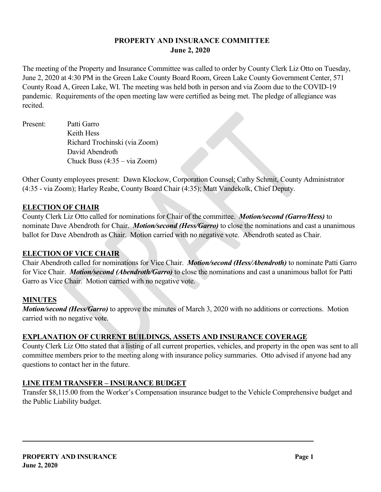## **PROPERTY AND INSURANCE COMMITTEE June 2, 2020**

The meeting of the Property and Insurance Committee was called to order by County Clerk Liz Otto on Tuesday, June 2, 2020 at 4:30 PM in the Green Lake County Board Room, Green Lake County Government Center, 571 County Road A, Green Lake, WI. The meeting was held both in person and via Zoom due to the COVID-19 pandemic. Requirements of the open meeting law were certified as being met. The pledge of allegiance was recited.

Present: Patti Garro Keith Hess Richard Trochinski (via Zoom) David Abendroth Chuck Buss (4:35 – via Zoom)

Other County employees present: Dawn Klockow, Corporation Counsel; Cathy Schmit, County Administrator (4:35 - via Zoom); Harley Reabe, County Board Chair (4:35); Matt Vandekolk, Chief Deputy.

## **ELECTION OF CHAIR**

County Clerk Liz Otto called for nominations for Chair of the committee. *Motion/second (Garro/Hess)* to nominate Dave Abendroth for Chair. *Motion/second (Hess/Garro)* to close the nominations and cast a unanimous ballot for Dave Abendroth as Chair. Motion carried with no negative vote. Abendroth seated as Chair.

### **ELECTION OF VICE CHAIR**

Chair Abendroth called for nominations for Vice Chair. *Motion/second (Hess/Abendroth)* to nominate Patti Garro for Vice Chair. *Motion/second (Abendroth/Garro)* to close the nominations and cast a unanimous ballot for Patti Garro as Vice Chair. Motion carried with no negative vote.

## **MINUTES**

*Motion/second (Hess/Garro)* to approve the minutes of March 3, 2020 with no additions or corrections. Motion carried with no negative vote.

## **EXPLANATION OF CURRENT BUILDINGS, ASSETS AND INSURANCE COVERAGE**

County Clerk Liz Otto stated that a listing of all current properties, vehicles, and property in the open was sent to all committee members prior to the meeting along with insurance policy summaries. Otto advised if anyone had any questions to contact her in the future.

## **LINE ITEM TRANSFER – INSURANCE BUDGET**

Transfer \$8,115.00 from the Worker's Compensation insurance budget to the Vehicle Comprehensive budget and the Public Liability budget.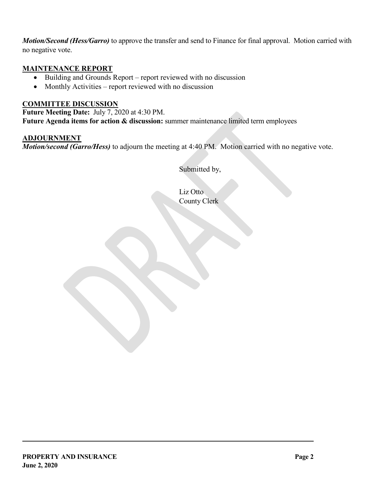*Motion/Second (Hess/Garro)* to approve the transfer and send to Finance for final approval. Motion carried with no negative vote.

### **MAINTENANCE REPORT**

- Building and Grounds Report report reviewed with no discussion
- Monthly Activities report reviewed with no discussion

### **COMMITTEE DISCUSSION**

**Future Meeting Date:** July 7, 2020 at 4:30 PM. **Future Agenda items for action & discussion:** summer maintenance limited term employees

**ADJOURNMENT** *Motion/second (Garro/Hess)* to adjourn the meeting at 4:40 PM. Motion carried with no negative vote.

Submitted by,

Liz Otto County Clerk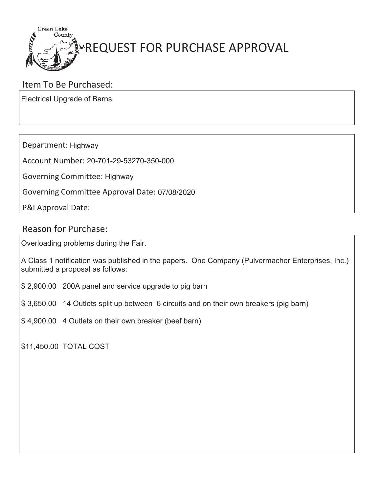

# Item To Be Purchased:

Electrical Upgrade of Barns

Department: Highway

Account Number: 20-701-29-53270-350-000

Governing Committee: Highway

Governing Committee Approval Date: 07/08/2020

P&I Approval Date:

# Reason for Purchase:

Overloading problems during the Fair.

A Class 1 notification was published in the papers. One Company (Pulvermacher Enterprises, Inc.) submitted a proposal as follows:

- \$ 2,900.00 200A panel and service upgrade to pig barn
- \$ 3,650.00 14 Outlets split up between 6 circuits and on their own breakers (pig barn)
- \$ 4,900.00 4 Outlets on their own breaker (beef barn)

\$11,450.00 TOTAL COST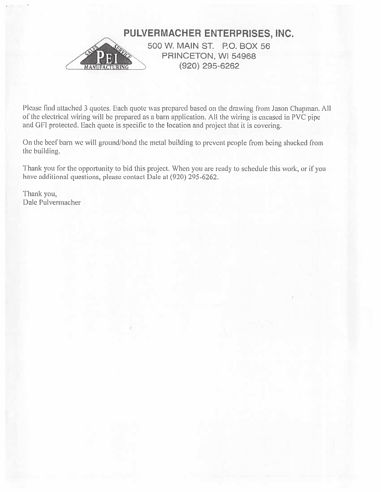

Please find attached 3 quotes. Each quote was prepared based on the drawing from Jason Chapman. All of the electrical wiring will be prepared as a barn application. All the wiring is encased in PVC pipe and GFI protected. Each quote is specific to the location and project that it is covering.

On the beef barn we will ground/bond the metal building to prevent people from being shocked from the building.

Thank you for the opportunity to bid this project. When you are ready to schedule this work, or if you have additional questions, please contact Dale at (920) 295-6262.

Thank you, Dale Pulvermacher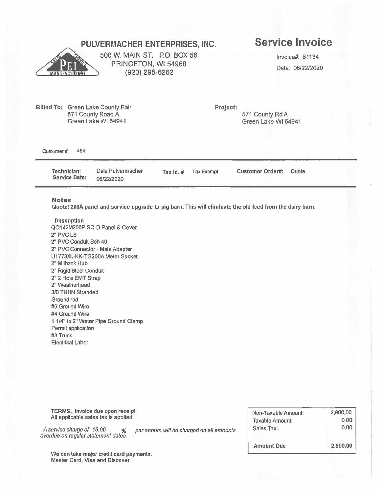# PULVERMACHER ENTERPRISES, INC.



500 W. MAIN ST. P.O. BOX 56 PRINCETON, WI 54968 (920) 295-6262

# **Service Invoice**

Invoice#: 61134 Date: 06/22/2020

Billed To: Green Lake County Fair 571 County Road A Green Lake WI 54941

Project:

571 County Rd A Green Lake WI 54941

Customer #: 454

> Dale Pulvermacher Technician: **Customer Order#:** Tax Id. # **Tax Exempt** Quote **Service Date:** 06/22/2020

#### **Notes**

Quote: 200A panel and service upgrade to pig barn. This will eliminate the old feed from the dairy barn.

**Description** QO142M200P SQ D Panel & Cover 2" PVC LB 2" PVC Conduit Sch 40 2" PVC Connector - Male Adapter U1773XL-KK-TG200A Meter Socket 2" Milbank Hub 2" Rigid Steel Conduit 2" 2 Hole EMT Strap 2" Weatherhead 3/0 THHN Stranded Ground rod #6 Ground Wire #4 Ground Wire 1 1/4" to 2" Water Pipe Ground Clamp Permit application #3 Truck **Electrical Labor** 

**TERMS:** invoice due upon receipt Non-Taxable Amount: 2,900.00 All applicable sales tax is applied Taxable Amount: 0.00  $0.00$ Sales Tax: A service charge of 18.00 per annum will be charged on all amounts % overdue on regular statement dates. **Amount Due** 2,900.00

We can take major credit card payments. Master Card, Visa and Discover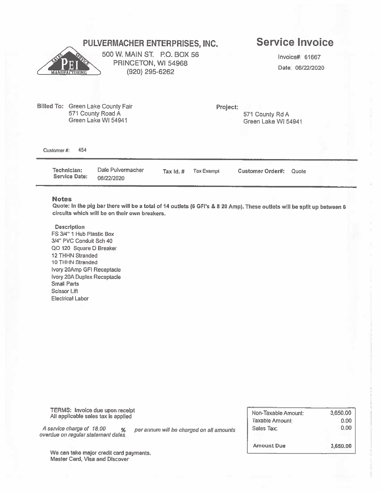### **Service Invoice** PULVERMACHER ENTERPRISES, INC. 500 W. MAIN ST. P.O. BOX 56 Invoice# 61667 PRINCETON, WI 54968 Date: 06/22/2020 (920) 295-6262 Billed To: Green Lake County Fair Project: 571 County Road A 571 County Rd A Green Lake WI 54941 Green Lake WI 54941 454 Customer #:

Dale Pulvermacher Technician: **Tax Exempt Customer Order#:** Quote Tax Id. # **Service Date:** 06/22/2020

#### **Notes**

Quote: In the pig bar there will be a total of 14 outlets (6 GFI's & 8 20 Amp). These outlets will be split up between 6 circuits which will be on their own breakers.

**Description** 

FS 3/4" 1 Hub Plastic Box 3/4" PVC Conduit Sch 40 QO 120 Square D Breaker 12 THHN Stranded 10 THHN Stranded Ivory 20Amp GFI Receptacle Ivory 20A Duplex Receptacle **Small Parts Scissor Lift Electrical Labor** 

TERMS: Invoice due upon receipt All applicable sales tax is applied

A service charge of 18.00  $%$ overdue on regular statement dates. per annum will be charged on all amounts

Non-Taxable Amount: 3,650.00 Taxable Amount:  $0.00$ Sales Tax:  $0.00$ **Amount Due** 3,650,00

We can take major credit card payments. Master Card, Visa and Discover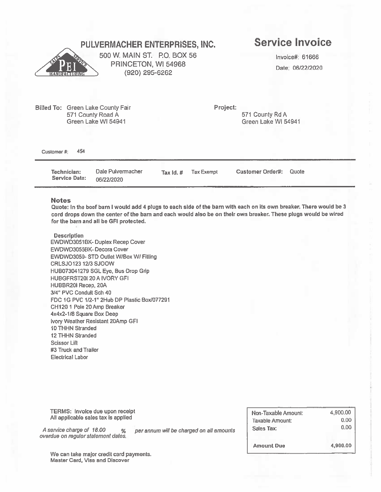# PULVERMACHER ENTERPRISES, INC.



500 W. MAIN ST. P.O. BOX 56 PRINCETON, WI 54968 (920) 295-6262

# **Service Invoice**

Invoice#: 61666 Date: 06/22/2020

Project: Billed To: Green Lake County Fair 571 County Rd A 571 County Road A Green Lake WI 54941 Green Lake WI 54941 454 Customer #: Dale Pulvermacher Technician: Tax Id. # **Tax Exempt** Customer Order#: Quote **Service Date:** 

#### **Notes**

Quote: In the beef barn I would add 4 plugs to each side of the barn with each on its own breaker. There would be 3 cord drops down the center of the barn and each would also be on their own breaker. These plugs would be wired for the barn and all be GFI protected.

#### **Description**

EWDWD3051BK-Duplex Recep Cover EWDWD3055BK-Decora Cover EWDWD3059- STD Outlet W/Box W/ Fitting CRLSJ0123 12/3 SJOOW HUB073041279 SGL Eye, Bus Drop Grip **HUBGFRST20I 20 A IVORY GFI** HUBBR20I Recep, 20A 3/4" PVC Conduit Sch 40 FDC 1G PVC 1/2-1" 2Hub DP Plastic Box/077291 CH120 1 Pole 20 Amp Breaker 4x4x2-1/8 Square Box Deep Ivory Weather Resistant 20Amp GFI 10 THHN Stranded **12 THHN Stranded Scissor Lift** #3 Truck and Trailer **Electrical Labor** 

06/22/2020

**TERMS:** Invoice due upon receipt All applicable sales tax is applied

A service charge of 18.00  $%$ overdue on regular statement dates. per annum will be charged on all amounts

4,900.00 Non-Taxable Amount:  $0.00$ **Taxable Amount:**  $0.00$ Sales Tax: **Amount Due** 4,900.00

We can take major credit card payments. Master Card, Visa and Discover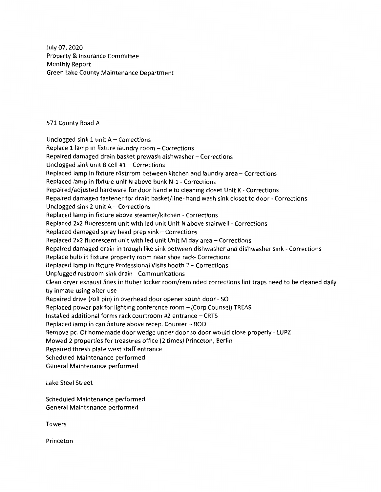July 07, 2020 Property & Insurance Committee Monthly Report Green Lake County Maintenance Department

### 571 County Road A

Unclogged sink  $1$  unit  $A -$  Corrections Replace 1 lamp in fixture laundry room - Corrections Repaired damaged drain basket prewash dishwasher- Corrections Unclogged sink unit B cell #1- Corrections Replaced lamp in fixture r4strrom between kitchen and laundry area - Corrections Replaced lamp in fixture unit N above bunk N-1- Corrections Repaired/adjusted hardware for door handle to cleaning closet Unit K - Corrections Repaired damaged fastener for drain basket/line- hand wash sink closet to door - Corrections Unclogged sink 2 unit  $A -$  Corrections Replaced lamp in fixture above steamer/kitchen - Corrections Replaced 2x2 fluorescent unit with led unit Unit N above stairwell - Corrections Replaced damaged spray head prep  $sin k -$  Corrections Replaced 2x2 fluorescent unit with led unit Unit M day area - Corrections Repaired damaged drain in trough like sink between dishwasher and dishwasher sink - Corrections Replace bulb in fixture property room near shoe rack- Corrections Replaced lamp in fixture Professional Visits booth 2 - Corrections Unplugged restroom sink drain - Communications Clean dryer exhaust lines in Huber locker room/reminded corrections lint traps need to be cleaned daily by inmate using after use Repaired drive (roll pin) in overhead door opener south door - SO Replaced power pak for lighting conference room - (Corp Counsel) TREAS Installed additional forms rack courtroom  $#2$  entrance  $-$  CRTS Replaced lamp in can fixture above recep. Counter - ROD Remove pc. Of homemade door wedge under door so door would close properly - LUPZ Mowed 2 properties for treasures office (2 times) Princeton, Berlin Repaired thresh plate west staff entrance Scheduled Maintenance performed General Maintenance performed

Lake Steel Street

Scheduled Maintenance performed General Maintenance performed

Towers

Princeton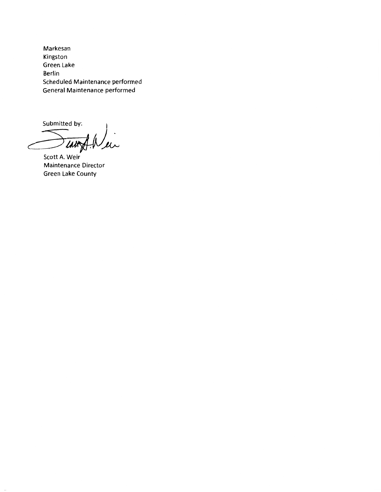Markesan Kingston Green Lake Berlin Scheduled Maintenance performed General Maintenance performed

Submitted by: 'Lati

Scott A. Weir Maintenance Director Green Lake County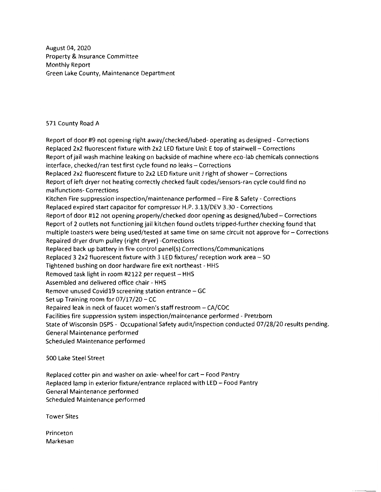August 04, 2020 Property & Insurance Committee Monthly Report Green Lake County, Maintenance Department

### 571 County Road A

Report of door #9 not opening right away/checked/lubed- operating as designed - Corrections Replaced 2x2 fluorescent fixture with 2x2 LED fixture Unit E top of stairwell - Corrections Report of jail wash machine leaking on backside of machine where eco-lab chemicals connections interface, checked/ran test first cycle found no leaks - Corrections Replaced 2x2 fluorescent fixture to 2x2 LED fixture unit J right of shower - Corrections Report of left dryer not heating correctly checked fault codes/sensors-ran cycle could find no malfunctions- Corrections Kitchen Fire suppression inspection/maintenance performed - Fire & Safety - Corrections Replaced expired start capacitor for compressor H.P. 3.13/DEV 3.30 - Corrections Report of door #12 not opening properly/checked door opening as designed/lubed - Corrections Report of 2 outlets not functioning jail kitchen found outlets tripped-further checking found that multiple toasters were being used/tested at same time on same circuit not approve for - Corrections Repaired dryer drum pulley (right dryer) -Corrections Replaced back up battery in fire control panel(s) Corrections/Communications Replaced 3 2x2 fluorescent fixture with 3 LED fixtures/ reception work area - SO Tightened bushing on door hardware fire exit northeast - HHS Removed task light in room #2122 per request  $-$  HHS Assembled and delivered office chair - HHS Remove unused Covid19 screening station entrance  $-$  GC Set up Training room for  $07/17/20$  – CC Repaired leak in neck of faucet women's staff restroom - CA/COC Facilities fire suppression system inspection/maintenance performed - Pretzborn State of Wisconsin DSPS - Occupational Safety audit/inspection conducted 07 /28/20 results pending. General Maintenance performed Scheduled Maintenance performed

500 Lake Steel Street

Replaced cotter pin and washer on axle- wheel for cart – Food Pantry Replaced lamp in exterior fixture/entrance replaced with LED - Food Pantry General Maintenance performed Scheduled Maintenance performed

Tower Sites

Princeton Markesan